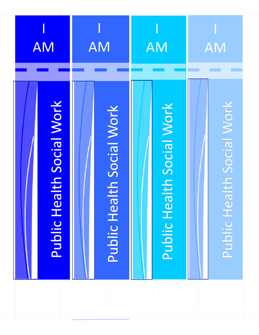